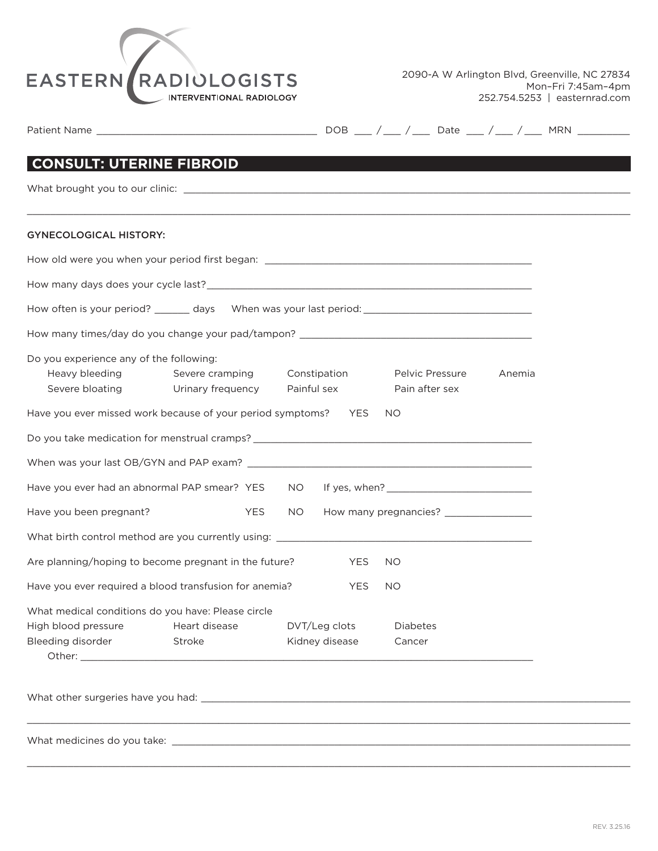

| <b>CONSULT: UTERINE FIBROID</b><br>Heavy bleeding Severe cramping Constipation Pelvic Pressure<br>Anemia                            |
|-------------------------------------------------------------------------------------------------------------------------------------|
|                                                                                                                                     |
| <b>GYNECOLOGICAL HISTORY:</b>                                                                                                       |
| How often is your period? _______ days When was your last period: __________________________________                                |
|                                                                                                                                     |
|                                                                                                                                     |
| How many times/day do you change your pad/tampon? _______________________________                                                   |
| Do you experience any of the following:                                                                                             |
| Severe bloating Urinary frequency<br>Painful sex<br>Pain after sex                                                                  |
| Have you ever missed work because of your period symptoms? YES<br>NO.                                                               |
|                                                                                                                                     |
|                                                                                                                                     |
|                                                                                                                                     |
| Have you been pregnant?<br><b>YES</b><br>NO.                                                                                        |
|                                                                                                                                     |
| Are planning/hoping to become pregnant in the future?<br>YES<br>NO.                                                                 |
| Have you ever required a blood transfusion for anemia?<br><b>YES</b><br><b>NO</b>                                                   |
| What medical conditions do you have: Please circle                                                                                  |
| High blood pressure<br>Heart disease<br>DVT/Leg clots<br><b>Diabetes</b><br>Bleeding disorder<br>Kidney disease<br>Stroke<br>Cancer |
|                                                                                                                                     |

 $\_$  , and the set of the set of the set of the set of the set of the set of the set of the set of the set of the set of the set of the set of the set of the set of the set of the set of the set of the set of the set of th